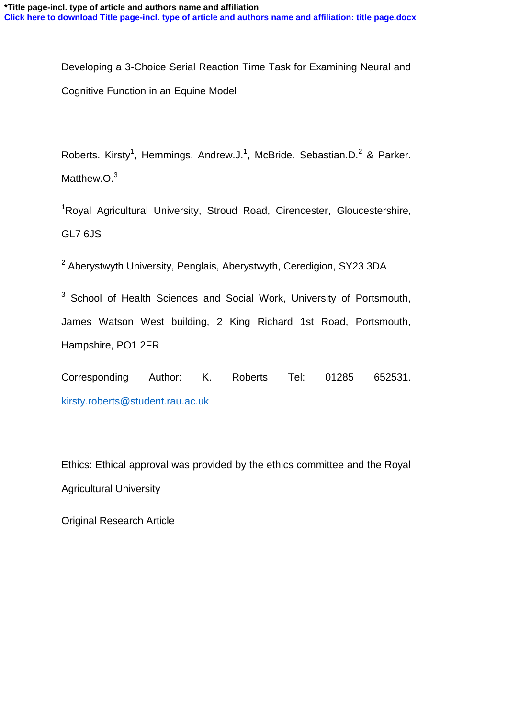Developing a 3-Choice Serial Reaction Time Task for Examining Neural and Cognitive Function in an Equine Model

Roberts. Kirsty<sup>1</sup>, Hemmings. Andrew.J.<sup>1</sup>, McBride. Sebastian.D.<sup>2</sup> & Parker. Matthew.O.<sup>3</sup>

<sup>1</sup>Royal Agricultural University, Stroud Road, Cirencester, Gloucestershire, GL7 6JS

<sup>2</sup> Aberystwyth University, Penglais, Aberystwyth, Ceredigion, SY23 3DA

<sup>3</sup> School of Health Sciences and Social Work, University of Portsmouth, James Watson West building, 2 King Richard 1st Road, Portsmouth, Hampshire, PO1 2FR

Corresponding Author: K. Roberts Tel: 01285 652531. [kirsty.roberts@student.rau.ac.uk](mailto:kirsty.roberts@student.rau.ac.uk)

Ethics: Ethical approval was provided by the ethics committee and the Royal Agricultural University

Original Research Article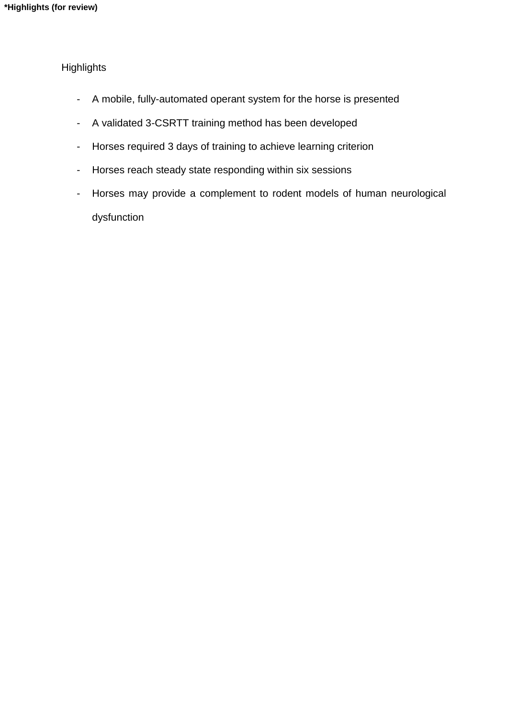# **Highlights**

- A mobile, fully-automated operant system for the horse is presented
- A validated 3-CSRTT training method has been developed
- Horses required 3 days of training to achieve learning criterion
- Horses reach steady state responding within six sessions
- Horses may provide a complement to rodent models of human neurological dysfunction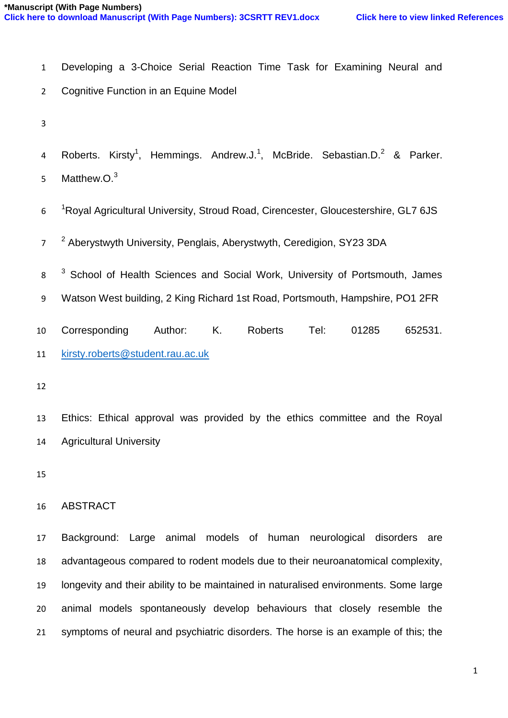- Developing a 3-Choice Serial Reaction Time Task for Examining Neural and
- Cognitive Function in an Equine Model
- 
- 4 Roberts. Kirsty<sup>1</sup>, Hemmings. Andrew.J.<sup>1</sup>, McBride. Sebastian.D.<sup>2</sup> & Parker.
- Matthew.O.<sup>3</sup>
- 6 <sup>1</sup>Royal Agricultural University, Stroud Road, Cirencester, Gloucestershire, GL7 6JS
- <sup>2</sup> Aberystwyth University, Penglais, Aberystwyth, Ceredigion, SY23 3DA
- <sup>3</sup> School of Health Sciences and Social Work, University of Portsmouth, James
- Watson West building, 2 King Richard 1st Road, Portsmouth, Hampshire, PO1 2FR
- Corresponding Author: K. Roberts Tel: 01285 652531. [kirsty.roberts@student.rau.ac.uk](mailto:kirsty.roberts@student.rau.ac.uk)
- 

 Ethics: Ethical approval was provided by the ethics committee and the Royal Agricultural University

## ABSTRACT

 Background: Large animal models of human neurological disorders are advantageous compared to rodent models due to their neuroanatomical complexity, longevity and their ability to be maintained in naturalised environments. Some large animal models spontaneously develop behaviours that closely resemble the symptoms of neural and psychiatric disorders. The horse is an example of this; the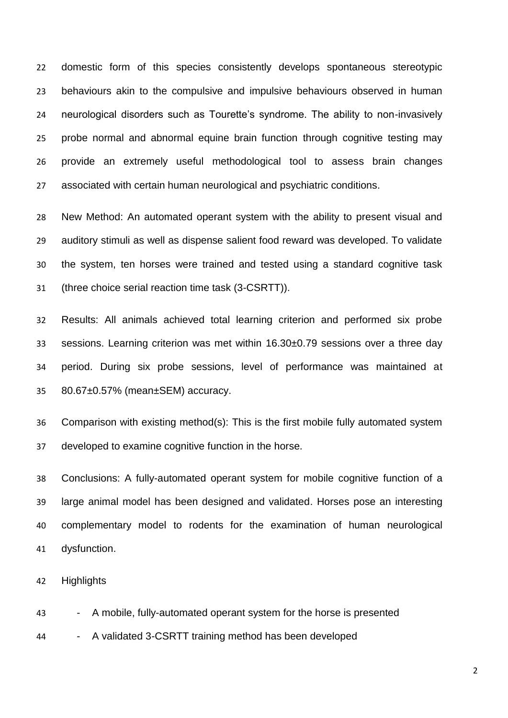domestic form of this species consistently develops spontaneous stereotypic behaviours akin to the compulsive and impulsive behaviours observed in human neurological disorders such as Tourette's syndrome. The ability to non-invasively probe normal and abnormal equine brain function through cognitive testing may provide an extremely useful methodological tool to assess brain changes associated with certain human neurological and psychiatric conditions.

 New Method: An automated operant system with the ability to present visual and auditory stimuli as well as dispense salient food reward was developed. To validate the system, ten horses were trained and tested using a standard cognitive task (three choice serial reaction time task (3-CSRTT)).

 Results: All animals achieved total learning criterion and performed six probe sessions. Learning criterion was met within 16.30±0.79 sessions over a three day period. During six probe sessions, level of performance was maintained at 80.67±0.57% (mean±SEM) accuracy.

 Comparison with existing method(s): This is the first mobile fully automated system developed to examine cognitive function in the horse.

 Conclusions: A fully-automated operant system for mobile cognitive function of a large animal model has been designed and validated. Horses pose an interesting complementary model to rodents for the examination of human neurological dysfunction.

Highlights

43 - A mobile, fully-automated operant system for the horse is presented

44 - A validated 3-CSRTT training method has been developed

 $\overline{2}$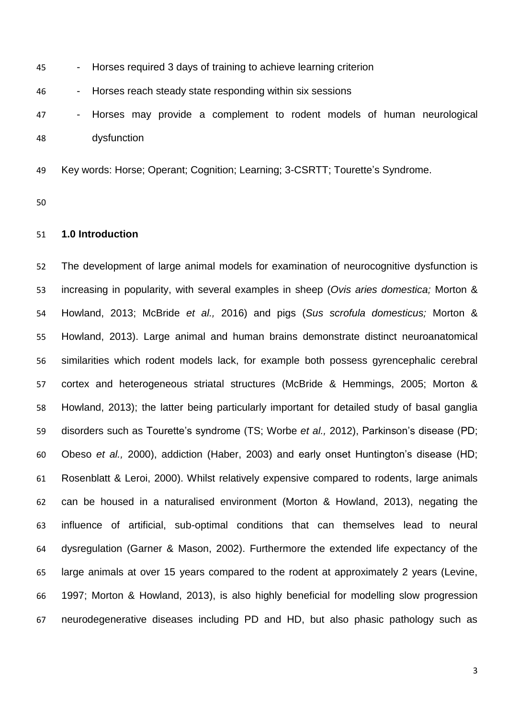| 45 | - Horses required 3 days of training to achieve learning criterion       |  |  |  |  |  |  |  |  |  |
|----|--------------------------------------------------------------------------|--|--|--|--|--|--|--|--|--|
| 46 | - Horses reach steady state responding within six sessions               |  |  |  |  |  |  |  |  |  |
| 47 | - Horses may provide a complement to rodent models of human neurological |  |  |  |  |  |  |  |  |  |
| 48 | dysfunction                                                              |  |  |  |  |  |  |  |  |  |
|    |                                                                          |  |  |  |  |  |  |  |  |  |

Key words: Horse; Operant; Cognition; Learning; 3-CSRTT; Tourette's Syndrome.

### **1.0 Introduction**

 The development of large animal models for examination of neurocognitive dysfunction is increasing in popularity, with several examples in sheep (*Ovis aries domestica;* Morton & Howland, 2013; McBride *et al.,* 2016) and pigs (*Sus scrofula domesticus;* Morton & Howland, 2013). Large animal and human brains demonstrate distinct neuroanatomical similarities which rodent models lack, for example both possess gyrencephalic cerebral cortex and heterogeneous striatal structures (McBride & Hemmings, 2005; Morton & Howland, 2013); the latter being particularly important for detailed study of basal ganglia disorders such as Tourette's syndrome (TS; Worbe *et al.,* 2012), Parkinson's disease (PD; Obeso *et al.,* 2000), addiction (Haber, 2003) and early onset Huntington's disease (HD; Rosenblatt & Leroi, 2000). Whilst relatively expensive compared to rodents, large animals can be housed in a naturalised environment (Morton & Howland, 2013), negating the influence of artificial, sub-optimal conditions that can themselves lead to neural dysregulation (Garner & Mason, 2002). Furthermore the extended life expectancy of the large animals at over 15 years compared to the rodent at approximately 2 years (Levine, 1997; Morton & Howland, 2013), is also highly beneficial for modelling slow progression neurodegenerative diseases including PD and HD, but also phasic pathology such as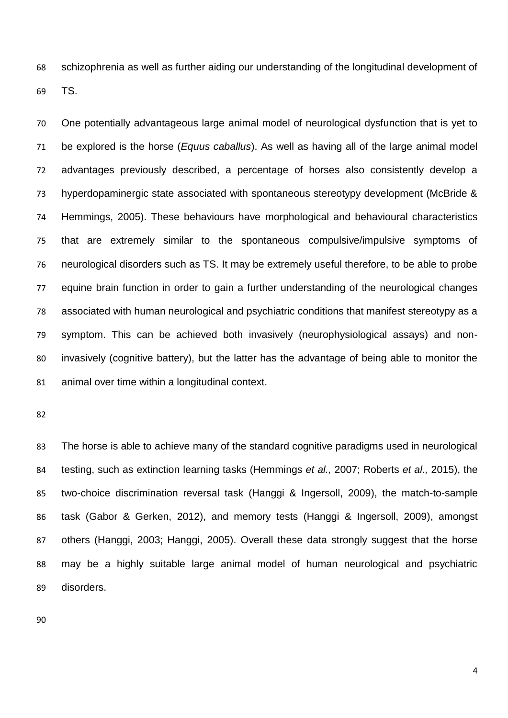schizophrenia as well as further aiding our understanding of the longitudinal development of TS.

 One potentially advantageous large animal model of neurological dysfunction that is yet to be explored is the horse (*Equus caballus*). As well as having all of the large animal model advantages previously described, a percentage of horses also consistently develop a hyperdopaminergic state associated with spontaneous stereotypy development (McBride & Hemmings, 2005). These behaviours have morphological and behavioural characteristics that are extremely similar to the spontaneous compulsive/impulsive symptoms of neurological disorders such as TS. It may be extremely useful therefore, to be able to probe equine brain function in order to gain a further understanding of the neurological changes associated with human neurological and psychiatric conditions that manifest stereotypy as a symptom. This can be achieved both invasively (neurophysiological assays) and non- invasively (cognitive battery), but the latter has the advantage of being able to monitor the animal over time within a longitudinal context.

 The horse is able to achieve many of the standard cognitive paradigms used in neurological testing, such as extinction learning tasks (Hemmings *et al.,* 2007; Roberts *et al.,* 2015), the two-choice discrimination reversal task (Hanggi & Ingersoll, 2009), the match-to-sample task (Gabor & Gerken, 2012), and memory tests (Hanggi & Ingersoll, 2009), amongst others (Hanggi, 2003; Hanggi, 2005). Overall these data strongly suggest that the horse may be a highly suitable large animal model of human neurological and psychiatric disorders.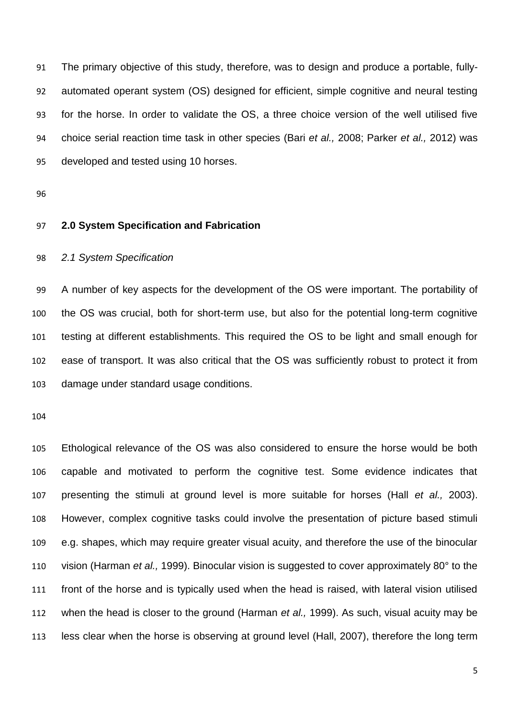The primary objective of this study, therefore, was to design and produce a portable, fully- automated operant system (OS) designed for efficient, simple cognitive and neural testing for the horse. In order to validate the OS, a three choice version of the well utilised five choice serial reaction time task in other species (Bari *et al.,* 2008; Parker *et al.,* 2012) was developed and tested using 10 horses.

### **2.0 System Specification and Fabrication**

### *2.1 System Specification*

 A number of key aspects for the development of the OS were important. The portability of the OS was crucial, both for short-term use, but also for the potential long-term cognitive testing at different establishments. This required the OS to be light and small enough for ease of transport. It was also critical that the OS was sufficiently robust to protect it from damage under standard usage conditions.

 Ethological relevance of the OS was also considered to ensure the horse would be both capable and motivated to perform the cognitive test. Some evidence indicates that presenting the stimuli at ground level is more suitable for horses (Hall *et al.,* 2003). However, complex cognitive tasks could involve the presentation of picture based stimuli e.g. shapes, which may require greater visual acuity, and therefore the use of the binocular vision (Harman *et al.,* 1999). Binocular vision is suggested to cover approximately 80° to the front of the horse and is typically used when the head is raised, with lateral vision utilised when the head is closer to the ground (Harman *et al.,* 1999). As such, visual acuity may be less clear when the horse is observing at ground level (Hall, 2007), therefore the long term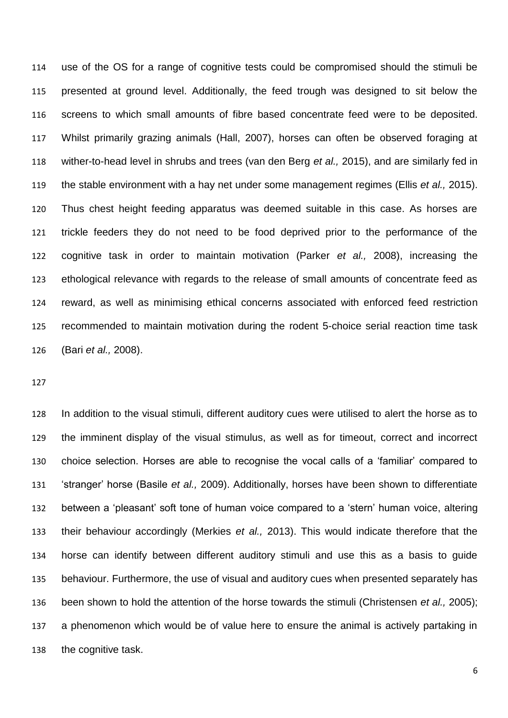use of the OS for a range of cognitive tests could be compromised should the stimuli be presented at ground level. Additionally, the feed trough was designed to sit below the screens to which small amounts of fibre based concentrate feed were to be deposited. Whilst primarily grazing animals (Hall, 2007), horses can often be observed foraging at wither-to-head level in shrubs and trees (van den Berg *et al.,* 2015), and are similarly fed in the stable environment with a hay net under some management regimes (Ellis *et al.,* 2015). Thus chest height feeding apparatus was deemed suitable in this case. As horses are trickle feeders they do not need to be food deprived prior to the performance of the cognitive task in order to maintain motivation (Parker *et al.,* 2008), increasing the ethological relevance with regards to the release of small amounts of concentrate feed as reward, as well as minimising ethical concerns associated with enforced feed restriction recommended to maintain motivation during the rodent 5-choice serial reaction time task (Bari *et al.,* 2008).

 In addition to the visual stimuli, different auditory cues were utilised to alert the horse as to the imminent display of the visual stimulus, as well as for timeout, correct and incorrect choice selection. Horses are able to recognise the vocal calls of a 'familiar' compared to 'stranger' horse (Basile *et al.,* 2009). Additionally, horses have been shown to differentiate between a 'pleasant' soft tone of human voice compared to a 'stern' human voice, altering their behaviour accordingly (Merkies *et al.,* 2013). This would indicate therefore that the horse can identify between different auditory stimuli and use this as a basis to guide behaviour. Furthermore, the use of visual and auditory cues when presented separately has been shown to hold the attention of the horse towards the stimuli (Christensen *et al.,* 2005); a phenomenon which would be of value here to ensure the animal is actively partaking in the cognitive task.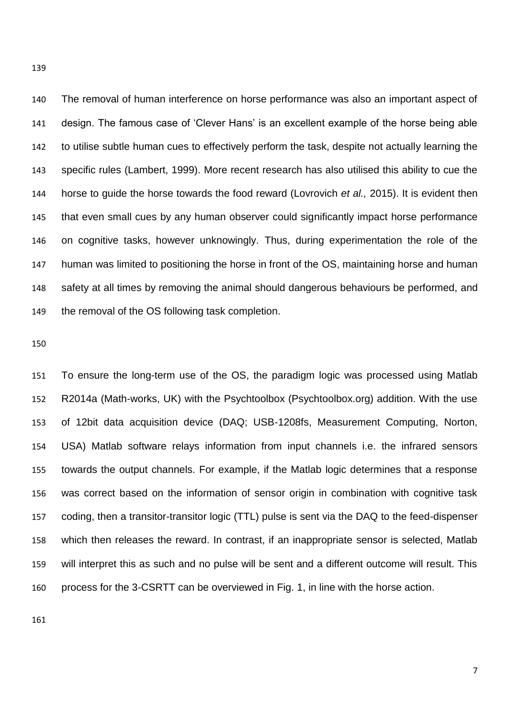The removal of human interference on horse performance was also an important aspect of design. The famous case of 'Clever Hans' is an excellent example of the horse being able to utilise subtle human cues to effectively perform the task, despite not actually learning the specific rules (Lambert, 1999). More recent research has also utilised this ability to cue the horse to guide the horse towards the food reward (Lovrovich *et al.,* 2015). It is evident then that even small cues by any human observer could significantly impact horse performance on cognitive tasks, however unknowingly. Thus, during experimentation the role of the human was limited to positioning the horse in front of the OS, maintaining horse and human safety at all times by removing the animal should dangerous behaviours be performed, and the removal of the OS following task completion.

 To ensure the long-term use of the OS, the paradigm logic was processed using Matlab R2014a (Math-works, UK) with the Psychtoolbox (Psychtoolbox.org) addition. With the use of 12bit data acquisition device (DAQ; USB-1208fs, Measurement Computing, Norton, USA) Matlab software relays information from input channels i.e. the infrared sensors towards the output channels. For example, if the Matlab logic determines that a response was correct based on the information of sensor origin in combination with cognitive task coding, then a transitor-transitor logic (TTL) pulse is sent via the DAQ to the feed-dispenser which then releases the reward. In contrast, if an inappropriate sensor is selected, Matlab will interpret this as such and no pulse will be sent and a different outcome will result. This process for the 3-CSRTT can be overviewed in Fig. 1, in line with the horse action.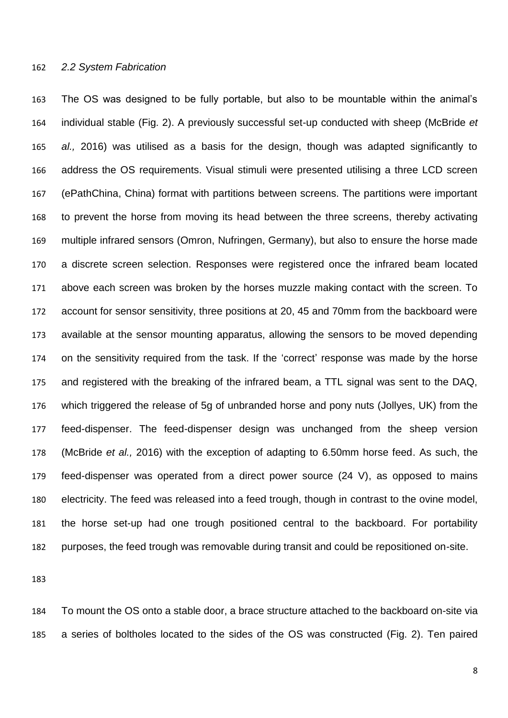#### *2.2 System Fabrication*

 The OS was designed to be fully portable, but also to be mountable within the animal's individual stable (Fig. 2). A previously successful set-up conducted with sheep (McBride *et al.,* 2016) was utilised as a basis for the design, though was adapted significantly to address the OS requirements. Visual stimuli were presented utilising a three LCD screen (ePathChina, China) format with partitions between screens. The partitions were important to prevent the horse from moving its head between the three screens, thereby activating multiple infrared sensors (Omron, Nufringen, Germany), but also to ensure the horse made a discrete screen selection. Responses were registered once the infrared beam located above each screen was broken by the horses muzzle making contact with the screen. To account for sensor sensitivity, three positions at 20, 45 and 70mm from the backboard were available at the sensor mounting apparatus, allowing the sensors to be moved depending on the sensitivity required from the task. If the 'correct' response was made by the horse and registered with the breaking of the infrared beam, a TTL signal was sent to the DAQ, which triggered the release of 5g of unbranded horse and pony nuts (Jollyes, UK) from the feed-dispenser. The feed-dispenser design was unchanged from the sheep version (McBride *et al.,* 2016) with the exception of adapting to 6.50mm horse feed. As such, the feed-dispenser was operated from a direct power source (24 V), as opposed to mains electricity. The feed was released into a feed trough, though in contrast to the ovine model, the horse set-up had one trough positioned central to the backboard. For portability purposes, the feed trough was removable during transit and could be repositioned on-site.

 To mount the OS onto a stable door, a brace structure attached to the backboard on-site via a series of boltholes located to the sides of the OS was constructed (Fig. 2). Ten paired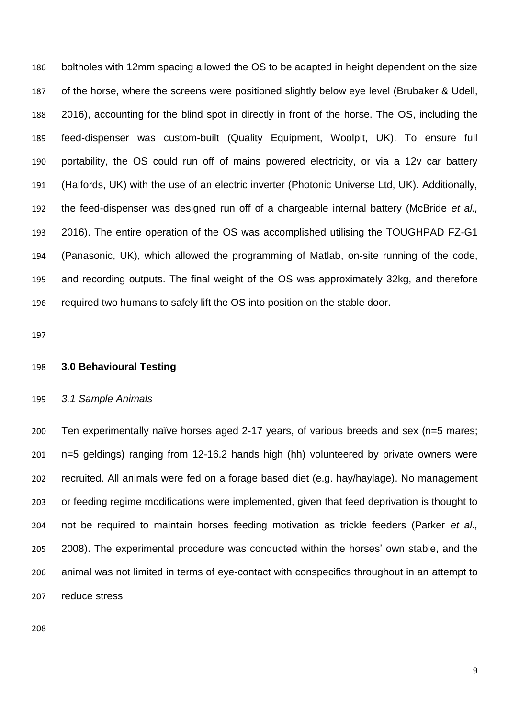boltholes with 12mm spacing allowed the OS to be adapted in height dependent on the size of the horse, where the screens were positioned slightly below eye level (Brubaker & Udell, 2016), accounting for the blind spot in directly in front of the horse. The OS, including the feed-dispenser was custom-built (Quality Equipment, Woolpit, UK). To ensure full portability, the OS could run off of mains powered electricity, or via a 12v car battery (Halfords, UK) with the use of an electric inverter (Photonic Universe Ltd, UK). Additionally, the feed-dispenser was designed run off of a chargeable internal battery (McBride *et al.,*  2016). The entire operation of the OS was accomplished utilising the TOUGHPAD FZ-G1 (Panasonic, UK), which allowed the programming of Matlab, on-site running of the code, and recording outputs. The final weight of the OS was approximately 32kg, and therefore required two humans to safely lift the OS into position on the stable door.

#### **3.0 Behavioural Testing**

#### *3.1 Sample Animals*

 Ten experimentally naïve horses aged 2-17 years, of various breeds and sex (n=5 mares; n=5 geldings) ranging from 12-16.2 hands high (hh) volunteered by private owners were recruited. All animals were fed on a forage based diet (e.g. hay/haylage). No management or feeding regime modifications were implemented, given that feed deprivation is thought to not be required to maintain horses feeding motivation as trickle feeders (Parker *et al.,*  2008). The experimental procedure was conducted within the horses' own stable, and the animal was not limited in terms of eye-contact with conspecifics throughout in an attempt to reduce stress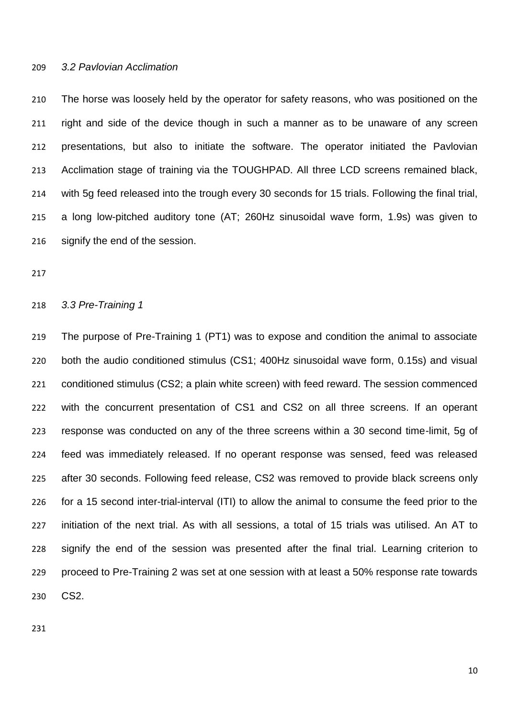### *3.2 Pavlovian Acclimation*

 The horse was loosely held by the operator for safety reasons, who was positioned on the right and side of the device though in such a manner as to be unaware of any screen presentations, but also to initiate the software. The operator initiated the Pavlovian Acclimation stage of training via the TOUGHPAD. All three LCD screens remained black, with 5g feed released into the trough every 30 seconds for 15 trials. Following the final trial, a long low-pitched auditory tone (AT; 260Hz sinusoidal wave form, 1.9s) was given to 216 signify the end of the session.

#### *3.3 Pre-Training 1*

 The purpose of Pre-Training 1 (PT1) was to expose and condition the animal to associate both the audio conditioned stimulus (CS1; 400Hz sinusoidal wave form, 0.15s) and visual conditioned stimulus (CS2; a plain white screen) with feed reward. The session commenced with the concurrent presentation of CS1 and CS2 on all three screens. If an operant response was conducted on any of the three screens within a 30 second time-limit, 5g of feed was immediately released. If no operant response was sensed, feed was released after 30 seconds. Following feed release, CS2 was removed to provide black screens only for a 15 second inter-trial-interval (ITI) to allow the animal to consume the feed prior to the initiation of the next trial. As with all sessions, a total of 15 trials was utilised. An AT to signify the end of the session was presented after the final trial. Learning criterion to proceed to Pre-Training 2 was set at one session with at least a 50% response rate towards CS2.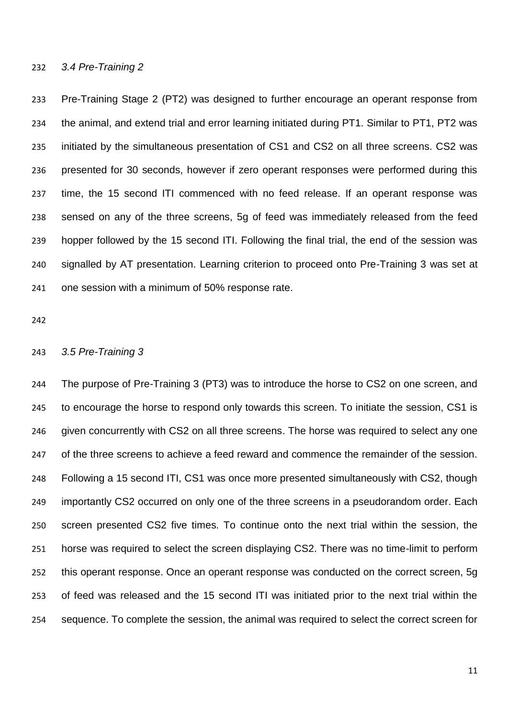#### *3.4 Pre-Training 2*

 Pre-Training Stage 2 (PT2) was designed to further encourage an operant response from the animal, and extend trial and error learning initiated during PT1. Similar to PT1, PT2 was initiated by the simultaneous presentation of CS1 and CS2 on all three screens. CS2 was presented for 30 seconds, however if zero operant responses were performed during this time, the 15 second ITI commenced with no feed release. If an operant response was sensed on any of the three screens, 5g of feed was immediately released from the feed hopper followed by the 15 second ITI. Following the final trial, the end of the session was signalled by AT presentation. Learning criterion to proceed onto Pre-Training 3 was set at one session with a minimum of 50% response rate.

#### *3.5 Pre-Training 3*

 The purpose of Pre-Training 3 (PT3) was to introduce the horse to CS2 on one screen, and to encourage the horse to respond only towards this screen. To initiate the session, CS1 is 246 given concurrently with CS2 on all three screens. The horse was required to select any one 247 of the three screens to achieve a feed reward and commence the remainder of the session. Following a 15 second ITI, CS1 was once more presented simultaneously with CS2, though importantly CS2 occurred on only one of the three screens in a pseudorandom order. Each screen presented CS2 five times. To continue onto the next trial within the session, the horse was required to select the screen displaying CS2. There was no time-limit to perform this operant response. Once an operant response was conducted on the correct screen, 5g of feed was released and the 15 second ITI was initiated prior to the next trial within the sequence. To complete the session, the animal was required to select the correct screen for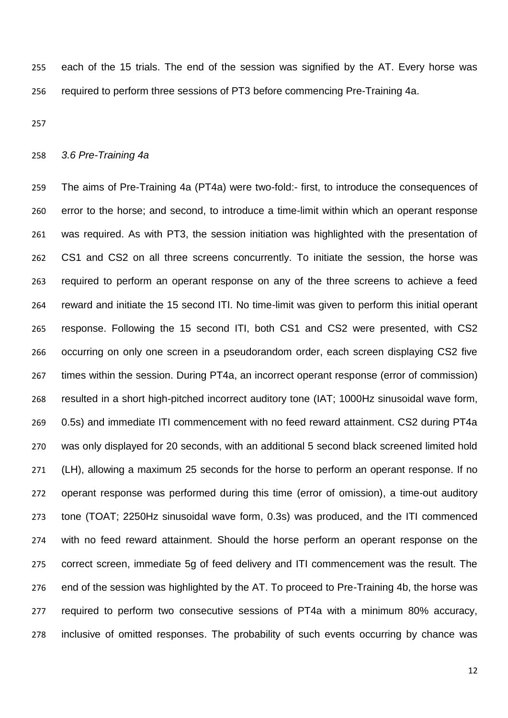each of the 15 trials. The end of the session was signified by the AT. Every horse was required to perform three sessions of PT3 before commencing Pre-Training 4a.

### *3.6 Pre-Training 4a*

 The aims of Pre-Training 4a (PT4a) were two-fold:- first, to introduce the consequences of error to the horse; and second, to introduce a time-limit within which an operant response was required. As with PT3, the session initiation was highlighted with the presentation of CS1 and CS2 on all three screens concurrently. To initiate the session, the horse was required to perform an operant response on any of the three screens to achieve a feed reward and initiate the 15 second ITI. No time-limit was given to perform this initial operant response. Following the 15 second ITI, both CS1 and CS2 were presented, with CS2 occurring on only one screen in a pseudorandom order, each screen displaying CS2 five times within the session. During PT4a, an incorrect operant response (error of commission) resulted in a short high-pitched incorrect auditory tone (IAT; 1000Hz sinusoidal wave form, 0.5s) and immediate ITI commencement with no feed reward attainment. CS2 during PT4a was only displayed for 20 seconds, with an additional 5 second black screened limited hold (LH), allowing a maximum 25 seconds for the horse to perform an operant response. If no operant response was performed during this time (error of omission), a time-out auditory tone (TOAT; 2250Hz sinusoidal wave form, 0.3s) was produced, and the ITI commenced with no feed reward attainment. Should the horse perform an operant response on the correct screen, immediate 5g of feed delivery and ITI commencement was the result. The end of the session was highlighted by the AT. To proceed to Pre-Training 4b, the horse was required to perform two consecutive sessions of PT4a with a minimum 80% accuracy, inclusive of omitted responses. The probability of such events occurring by chance was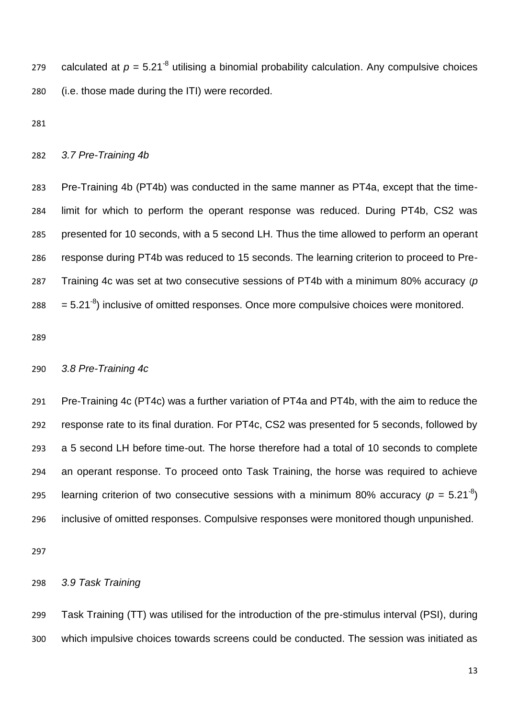279 calculated at  $p = 5.21<sup>-8</sup>$  utilising a binomial probability calculation. Any compulsive choices (i.e. those made during the ITI) were recorded.

### *3.7 Pre-Training 4b*

 Pre-Training 4b (PT4b) was conducted in the same manner as PT4a, except that the time- limit for which to perform the operant response was reduced. During PT4b, CS2 was presented for 10 seconds, with a 5 second LH. Thus the time allowed to perform an operant response during PT4b was reduced to 15 seconds. The learning criterion to proceed to Pre- Training 4c was set at two consecutive sessions of PT4b with a minimum 80% accuracy (*p*   $= 5.21^{-8}$ ) inclusive of omitted responses. Once more compulsive choices were monitored.

### *3.8 Pre-Training 4c*

 Pre-Training 4c (PT4c) was a further variation of PT4a and PT4b, with the aim to reduce the response rate to its final duration. For PT4c, CS2 was presented for 5 seconds, followed by a 5 second LH before time-out. The horse therefore had a total of 10 seconds to complete an operant response. To proceed onto Task Training, the horse was required to achieve 295 learning criterion of two consecutive sessions with a minimum 80% accuracy ( $p = 5.21<sup>-8</sup>$ ) inclusive of omitted responses. Compulsive responses were monitored though unpunished.

*3.9 Task Training*

 Task Training (TT) was utilised for the introduction of the pre-stimulus interval (PSI), during which impulsive choices towards screens could be conducted. The session was initiated as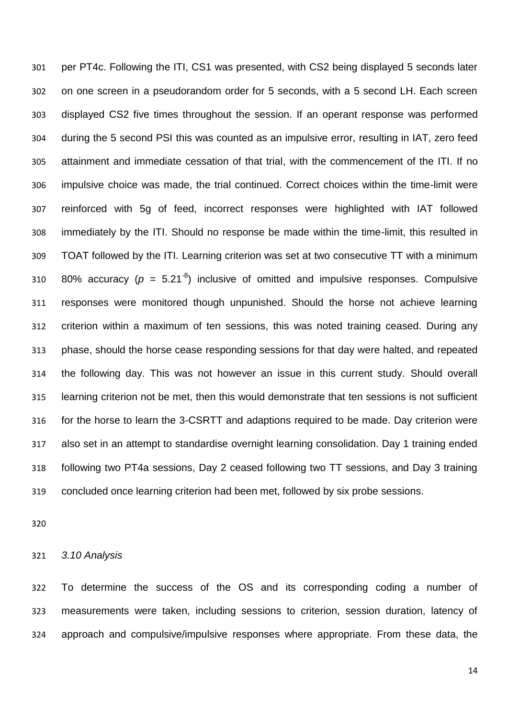per PT4c. Following the ITI, CS1 was presented, with CS2 being displayed 5 seconds later on one screen in a pseudorandom order for 5 seconds, with a 5 second LH. Each screen displayed CS2 five times throughout the session. If an operant response was performed during the 5 second PSI this was counted as an impulsive error, resulting in IAT, zero feed attainment and immediate cessation of that trial, with the commencement of the ITI. If no impulsive choice was made, the trial continued. Correct choices within the time-limit were reinforced with 5g of feed, incorrect responses were highlighted with IAT followed immediately by the ITI. Should no response be made within the time-limit, this resulted in TOAT followed by the ITI. Learning criterion was set at two consecutive TT with a minimum 310 80% accuracy ( $p = 5.21^{-8}$ ) inclusive of omitted and impulsive responses. Compulsive responses were monitored though unpunished. Should the horse not achieve learning criterion within a maximum of ten sessions, this was noted training ceased. During any phase, should the horse cease responding sessions for that day were halted, and repeated the following day. This was not however an issue in this current study. Should overall learning criterion not be met, then this would demonstrate that ten sessions is not sufficient for the horse to learn the 3-CSRTT and adaptions required to be made. Day criterion were also set in an attempt to standardise overnight learning consolidation. Day 1 training ended following two PT4a sessions, Day 2 ceased following two TT sessions, and Day 3 training concluded once learning criterion had been met, followed by six probe sessions.

*3.10 Analysis*

 To determine the success of the OS and its corresponding coding a number of measurements were taken, including sessions to criterion, session duration, latency of approach and compulsive/impulsive responses where appropriate. From these data, the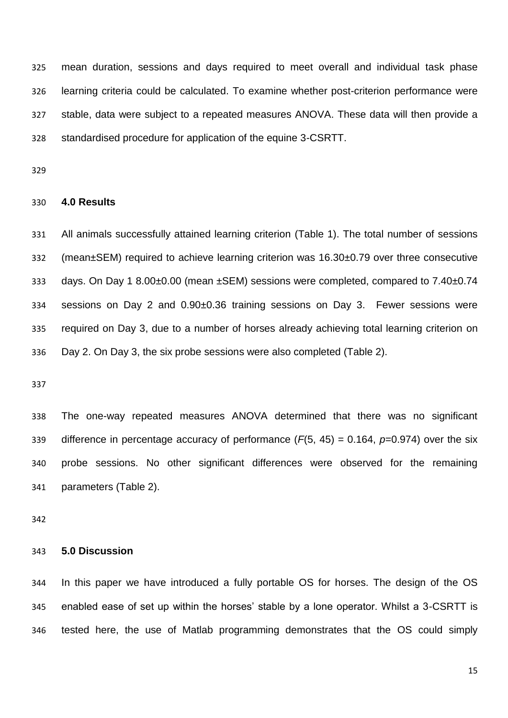mean duration, sessions and days required to meet overall and individual task phase learning criteria could be calculated. To examine whether post-criterion performance were stable, data were subject to a repeated measures ANOVA. These data will then provide a standardised procedure for application of the equine 3-CSRTT.

#### **4.0 Results**

 All animals successfully attained learning criterion (Table 1). The total number of sessions (mean±SEM) required to achieve learning criterion was 16.30±0.79 over three consecutive days. On Day 1 8.00±0.00 (mean ±SEM) sessions were completed, compared to 7.40±0.74 sessions on Day 2 and 0.90±0.36 training sessions on Day 3. Fewer sessions were required on Day 3, due to a number of horses already achieving total learning criterion on Day 2. On Day 3, the six probe sessions were also completed (Table 2).

 The one-way repeated measures ANOVA determined that there was no significant difference in percentage accuracy of performance (*F*(5, 45) = 0.164, *p*=0.974) over the six probe sessions. No other significant differences were observed for the remaining parameters (Table 2).

#### **5.0 Discussion**

 In this paper we have introduced a fully portable OS for horses. The design of the OS enabled ease of set up within the horses' stable by a lone operator. Whilst a 3-CSRTT is tested here, the use of Matlab programming demonstrates that the OS could simply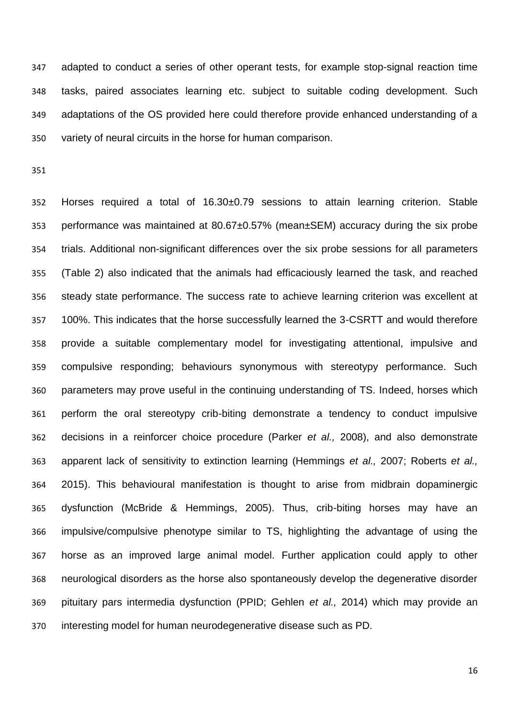adapted to conduct a series of other operant tests, for example stop-signal reaction time tasks, paired associates learning etc. subject to suitable coding development. Such adaptations of the OS provided here could therefore provide enhanced understanding of a variety of neural circuits in the horse for human comparison.

 Horses required a total of 16.30±0.79 sessions to attain learning criterion. Stable performance was maintained at 80.67±0.57% (mean±SEM) accuracy during the six probe trials. Additional non-significant differences over the six probe sessions for all parameters (Table 2) also indicated that the animals had efficaciously learned the task, and reached steady state performance. The success rate to achieve learning criterion was excellent at 100%. This indicates that the horse successfully learned the 3-CSRTT and would therefore provide a suitable complementary model for investigating attentional, impulsive and compulsive responding; behaviours synonymous with stereotypy performance. Such parameters may prove useful in the continuing understanding of TS. Indeed, horses which perform the oral stereotypy crib-biting demonstrate a tendency to conduct impulsive decisions in a reinforcer choice procedure (Parker *et al.,* 2008), and also demonstrate apparent lack of sensitivity to extinction learning (Hemmings *et al.,* 2007; Roberts *et al.,*  2015). This behavioural manifestation is thought to arise from midbrain dopaminergic dysfunction (McBride & Hemmings, 2005). Thus, crib-biting horses may have an impulsive/compulsive phenotype similar to TS, highlighting the advantage of using the horse as an improved large animal model. Further application could apply to other neurological disorders as the horse also spontaneously develop the degenerative disorder pituitary pars intermedia dysfunction (PPID; Gehlen *et al.,* 2014) which may provide an interesting model for human neurodegenerative disease such as PD.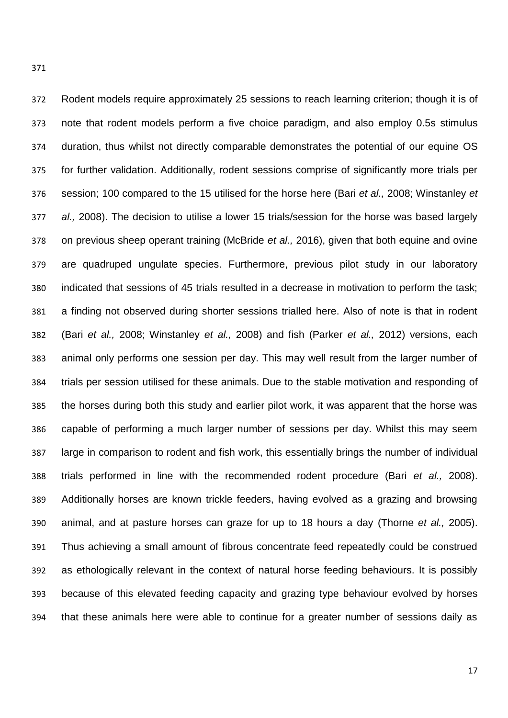Rodent models require approximately 25 sessions to reach learning criterion; though it is of

 note that rodent models perform a five choice paradigm, and also employ 0.5s stimulus duration, thus whilst not directly comparable demonstrates the potential of our equine OS for further validation. Additionally, rodent sessions comprise of significantly more trials per session; 100 compared to the 15 utilised for the horse here (Bari *et al.,* 2008; Winstanley *et al.,* 2008). The decision to utilise a lower 15 trials/session for the horse was based largely on previous sheep operant training (McBride *et al.,* 2016), given that both equine and ovine are quadruped ungulate species. Furthermore, previous pilot study in our laboratory indicated that sessions of 45 trials resulted in a decrease in motivation to perform the task; a finding not observed during shorter sessions trialled here. Also of note is that in rodent (Bari *et al.,* 2008; Winstanley *et al.,* 2008) and fish (Parker *et al.,* 2012) versions, each animal only performs one session per day. This may well result from the larger number of trials per session utilised for these animals. Due to the stable motivation and responding of the horses during both this study and earlier pilot work, it was apparent that the horse was capable of performing a much larger number of sessions per day. Whilst this may seem large in comparison to rodent and fish work, this essentially brings the number of individual trials performed in line with the recommended rodent procedure (Bari *et al.,* 2008). Additionally horses are known trickle feeders, having evolved as a grazing and browsing animal, and at pasture horses can graze for up to 18 hours a day (Thorne *et al.,* 2005). Thus achieving a small amount of fibrous concentrate feed repeatedly could be construed as ethologically relevant in the context of natural horse feeding behaviours. It is possibly because of this elevated feeding capacity and grazing type behaviour evolved by horses that these animals here were able to continue for a greater number of sessions daily as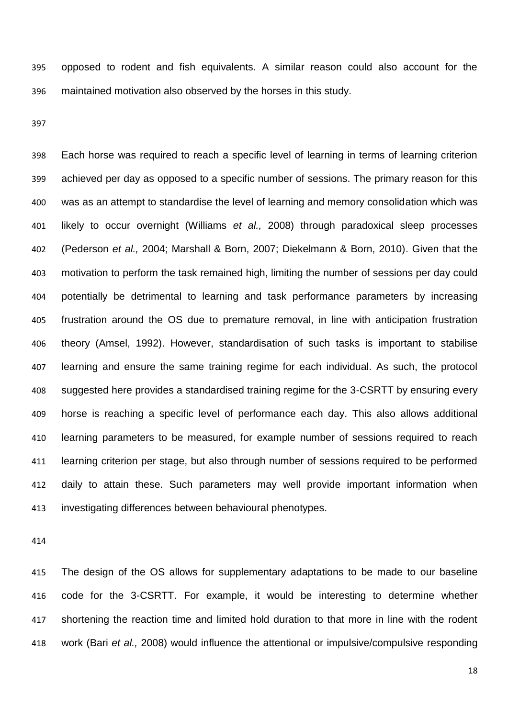opposed to rodent and fish equivalents. A similar reason could also account for the maintained motivation also observed by the horses in this study.

 Each horse was required to reach a specific level of learning in terms of learning criterion achieved per day as opposed to a specific number of sessions. The primary reason for this was as an attempt to standardise the level of learning and memory consolidation which was likely to occur overnight (Williams *et al.,* 2008) through paradoxical sleep processes (Pederson *et al.,* 2004; Marshall & Born, 2007; Diekelmann & Born, 2010). Given that the motivation to perform the task remained high, limiting the number of sessions per day could potentially be detrimental to learning and task performance parameters by increasing frustration around the OS due to premature removal, in line with anticipation frustration theory (Amsel, 1992). However, standardisation of such tasks is important to stabilise learning and ensure the same training regime for each individual. As such, the protocol suggested here provides a standardised training regime for the 3-CSRTT by ensuring every horse is reaching a specific level of performance each day. This also allows additional learning parameters to be measured, for example number of sessions required to reach learning criterion per stage, but also through number of sessions required to be performed daily to attain these. Such parameters may well provide important information when investigating differences between behavioural phenotypes.

 The design of the OS allows for supplementary adaptations to be made to our baseline code for the 3-CSRTT. For example, it would be interesting to determine whether shortening the reaction time and limited hold duration to that more in line with the rodent work (Bari *et al.,* 2008) would influence the attentional or impulsive/compulsive responding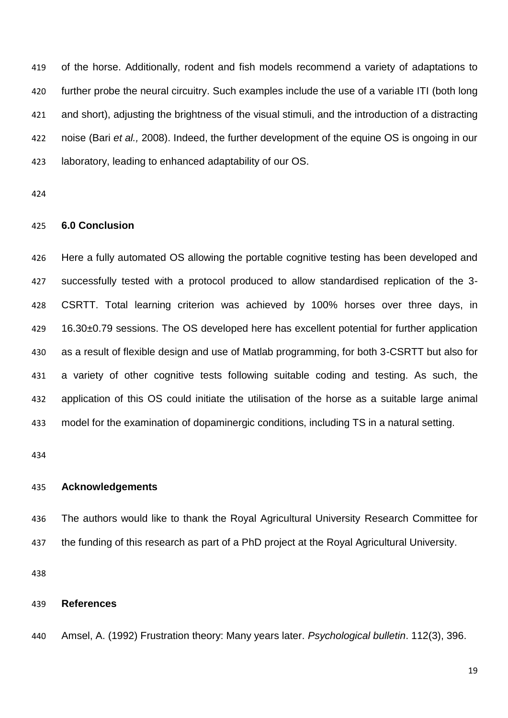of the horse. Additionally, rodent and fish models recommend a variety of adaptations to further probe the neural circuitry. Such examples include the use of a variable ITI (both long and short), adjusting the brightness of the visual stimuli, and the introduction of a distracting noise (Bari *et al.,* 2008). Indeed, the further development of the equine OS is ongoing in our laboratory, leading to enhanced adaptability of our OS.

## **6.0 Conclusion**

 Here a fully automated OS allowing the portable cognitive testing has been developed and successfully tested with a protocol produced to allow standardised replication of the 3- CSRTT. Total learning criterion was achieved by 100% horses over three days, in 16.30±0.79 sessions. The OS developed here has excellent potential for further application as a result of flexible design and use of Matlab programming, for both 3-CSRTT but also for a variety of other cognitive tests following suitable coding and testing. As such, the application of this OS could initiate the utilisation of the horse as a suitable large animal model for the examination of dopaminergic conditions, including TS in a natural setting.

#### **Acknowledgements**

 The authors would like to thank the Royal Agricultural University Research Committee for the funding of this research as part of a PhD project at the Royal Agricultural University.

### **References**

Amsel, A. (1992) Frustration theory: Many years later. *Psychological bulletin*. 112(3), 396.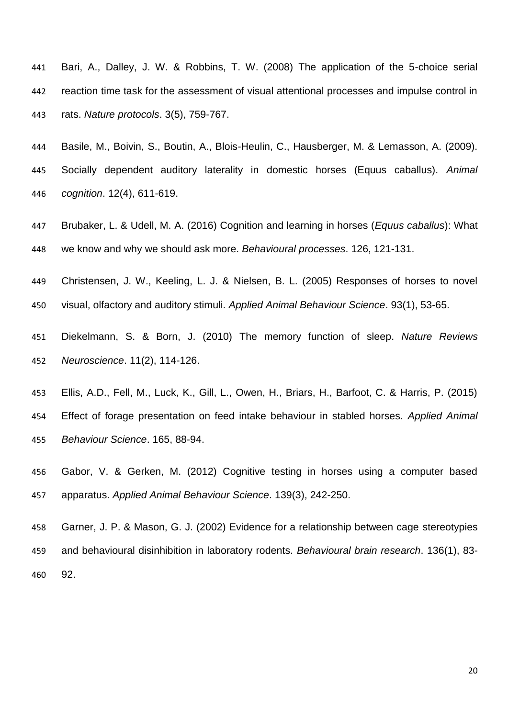- Bari, A., Dalley, J. W. & Robbins, T. W. (2008) The application of the 5-choice serial reaction time task for the assessment of visual attentional processes and impulse control in rats. *Nature protocols*. 3(5), 759-767.
- Basile, M., Boivin, S., Boutin, A., Blois-Heulin, C., Hausberger, M. & Lemasson, A. (2009). Socially dependent auditory laterality in domestic horses (Equus caballus). *Animal cognition*. 12(4), 611-619.
- Brubaker, L. & Udell, M. A. (2016) Cognition and learning in horses (*Equus caballus*): What we know and why we should ask more. *Behavioural processes*. 126, 121-131.
- Christensen, J. W., Keeling, L. J. & Nielsen, B. L. (2005) Responses of horses to novel visual, olfactory and auditory stimuli. *Applied Animal Behaviour Science*. 93(1), 53-65.
- Diekelmann, S. & Born, J. (2010) The memory function of sleep. *Nature Reviews Neuroscience*. 11(2), 114-126.
- Ellis, A.D., Fell, M., Luck, K., Gill, L., Owen, H., Briars, H., Barfoot, C. & Harris, P. (2015) Effect of forage presentation on feed intake behaviour in stabled horses. *Applied Animal Behaviour Science*. 165, 88-94.
- Gabor, V. & Gerken, M. (2012) Cognitive testing in horses using a computer based apparatus. *Applied Animal Behaviour Science*. 139(3), 242-250.
- Garner, J. P. & Mason, G. J. (2002) Evidence for a relationship between cage stereotypies and behavioural disinhibition in laboratory rodents. *Behavioural brain research*. 136(1), 83- 92.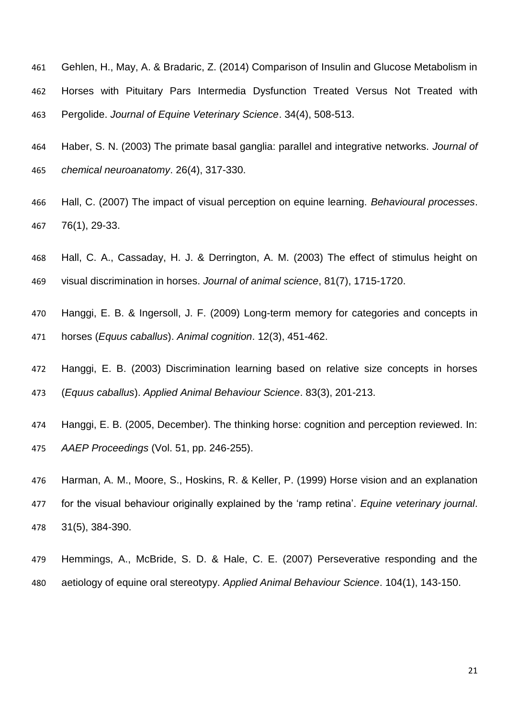- Gehlen, H., May, A. & Bradaric, Z. (2014) Comparison of Insulin and Glucose Metabolism in Horses with Pituitary Pars Intermedia Dysfunction Treated Versus Not Treated with Pergolide. *Journal of Equine Veterinary Science*. 34(4), 508-513.
- Haber, S. N. (2003) The primate basal ganglia: parallel and integrative networks. *Journal of chemical neuroanatomy*. 26(4), 317-330.
- Hall, C. (2007) The impact of visual perception on equine learning. *Behavioural processes*. 76(1), 29-33.
- Hall, C. A., Cassaday, H. J. & Derrington, A. M. (2003) The effect of stimulus height on visual discrimination in horses. *Journal of animal science*, 81(7), 1715-1720.
- Hanggi, E. B. & Ingersoll, J. F. (2009) Long-term memory for categories and concepts in horses (*Equus caballus*). *Animal cognition*. 12(3), 451-462.
- Hanggi, E. B. (2003) Discrimination learning based on relative size concepts in horses (*Equus caballus*). *Applied Animal Behaviour Science*. 83(3), 201-213.
- Hanggi, E. B. (2005, December). The thinking horse: cognition and perception reviewed. In: *AAEP Proceedings* (Vol. 51, pp. 246-255).
- Harman, A. M., Moore, S., Hoskins, R. & Keller, P. (1999) Horse vision and an explanation
- for the visual behaviour originally explained by the 'ramp retina'. *Equine veterinary journal*. 31(5), 384-390.
- Hemmings, A., McBride, S. D. & Hale, C. E. (2007) Perseverative responding and the aetiology of equine oral stereotypy. *Applied Animal Behaviour Science*. 104(1), 143-150.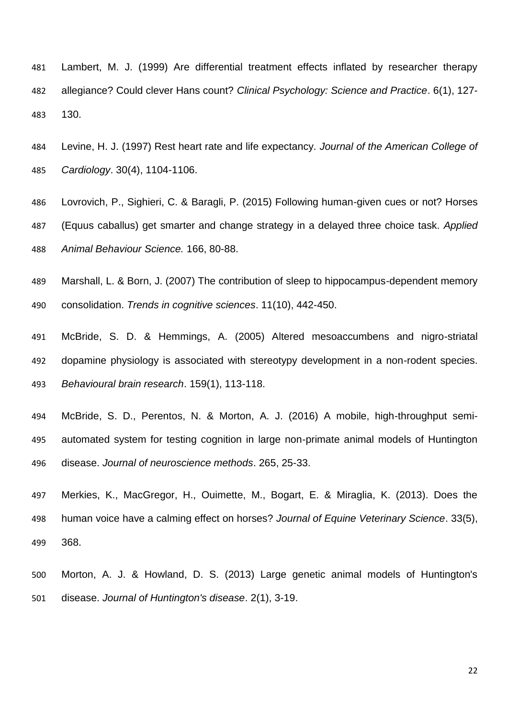- Lambert, M. J. (1999) Are differential treatment effects inflated by researcher therapy allegiance? Could clever Hans count? *Clinical Psychology: Science and Practice*. 6(1), 127- 130.
- Levine, H. J. (1997) Rest heart rate and life expectancy. *Journal of the American College of Cardiology*. 30(4), 1104-1106.
- Lovrovich, P., Sighieri, C. & Baragli, P. (2015) Following human-given cues or not? Horses (Equus caballus) get smarter and change strategy in a delayed three choice task. *Applied Animal Behaviour Science.* 166, 80-88.
- Marshall, L. & Born, J. (2007) The contribution of sleep to hippocampus-dependent memory consolidation. *Trends in cognitive sciences*. 11(10), 442-450.
- McBride, S. D. & Hemmings, A. (2005) Altered mesoaccumbens and nigro-striatal dopamine physiology is associated with stereotypy development in a non-rodent species. *Behavioural brain research*. 159(1), 113-118.
- McBride, S. D., Perentos, N. & Morton, A. J. (2016) A mobile, high-throughput semi- automated system for testing cognition in large non-primate animal models of Huntington disease. *Journal of neuroscience methods*. 265, 25-33.
- Merkies, K., MacGregor, H., Ouimette, M., Bogart, E. & Miraglia, K. (2013). Does the human voice have a calming effect on horses? *Journal of Equine Veterinary Science*. 33(5), 368.
- Morton, A. J. & Howland, D. S. (2013) Large genetic animal models of Huntington's disease. *Journal of Huntington's disease*. 2(1), 3-19.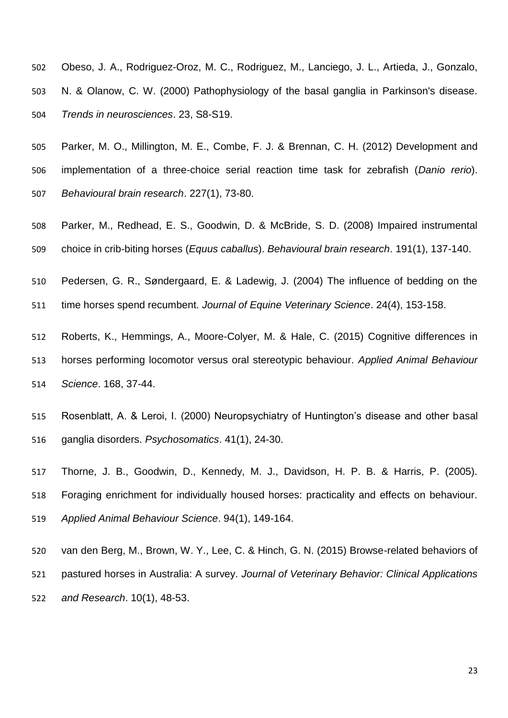- Obeso, J. A., Rodriguez-Oroz, M. C., Rodriguez, M., Lanciego, J. L., Artieda, J., Gonzalo, N. & Olanow, C. W. (2000) Pathophysiology of the basal ganglia in Parkinson's disease. *Trends in neurosciences*. 23, S8-S19.
- Parker, M. O., Millington, M. E., Combe, F. J. & Brennan, C. H. (2012) Development and implementation of a three-choice serial reaction time task for zebrafish (*Danio rerio*). *Behavioural brain research*. 227(1), 73-80.
- Parker, M., Redhead, E. S., Goodwin, D. & McBride, S. D. (2008) Impaired instrumental choice in crib-biting horses (*Equus caballus*). *Behavioural brain research*. 191(1), 137-140.
- Pedersen, G. R., Søndergaard, E. & Ladewig, J. (2004) The influence of bedding on the

time horses spend recumbent. *Journal of Equine Veterinary Science*. 24(4), 153-158.

- Roberts, K., Hemmings, A., Moore-Colyer, M. & Hale, C. (2015) Cognitive differences in horses performing locomotor versus oral stereotypic behaviour. *Applied Animal Behaviour Science*. 168, 37-44.
- Rosenblatt, A. & Leroi, I. (2000) Neuropsychiatry of Huntington's disease and other basal ganglia disorders. *Psychosomatics*. 41(1), 24-30.
- Thorne, J. B., Goodwin, D., Kennedy, M. J., Davidson, H. P. B. & Harris, P. (2005). Foraging enrichment for individually housed horses: practicality and effects on behaviour. *Applied Animal Behaviour Science*. 94(1), 149-164.
- van den Berg, M., Brown, W. Y., Lee, C. & Hinch, G. N. (2015) Browse-related behaviors of pastured horses in Australia: A survey. *Journal of Veterinary Behavior: Clinical Applications and Research*. 10(1), 48-53.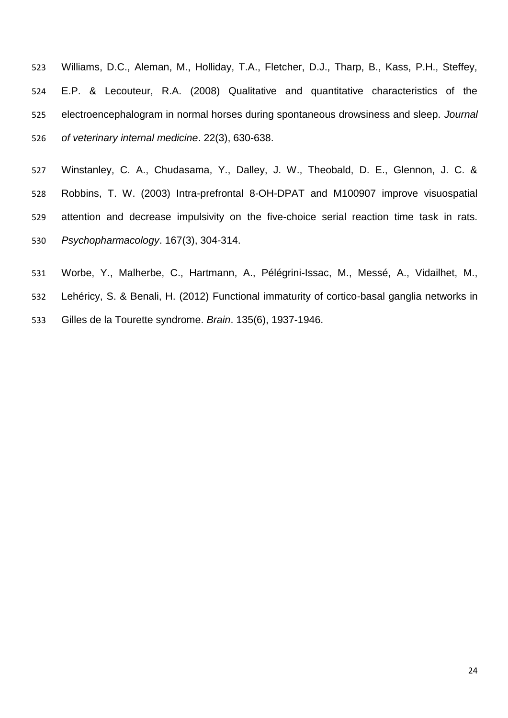- Williams, D.C., Aleman, M., Holliday, T.A., Fletcher, D.J., Tharp, B., Kass, P.H., Steffey, E.P. & Lecouteur, R.A. (2008) Qualitative and quantitative characteristics of the electroencephalogram in normal horses during spontaneous drowsiness and sleep. *Journal of veterinary internal medicine*. 22(3), 630-638.
- Winstanley, C. A., Chudasama, Y., Dalley, J. W., Theobald, D. E., Glennon, J. C. & Robbins, T. W. (2003) Intra-prefrontal 8-OH-DPAT and M100907 improve visuospatial attention and decrease impulsivity on the five-choice serial reaction time task in rats. *Psychopharmacology*. 167(3), 304-314.
- Worbe, Y., Malherbe, C., Hartmann, A., Pélégrini-Issac, M., Messé, A., Vidailhet, M.,
- Lehéricy, S. & Benali, H. (2012) Functional immaturity of cortico-basal ganglia networks in Gilles de la Tourette syndrome. *Brain*. 135(6), 1937-1946.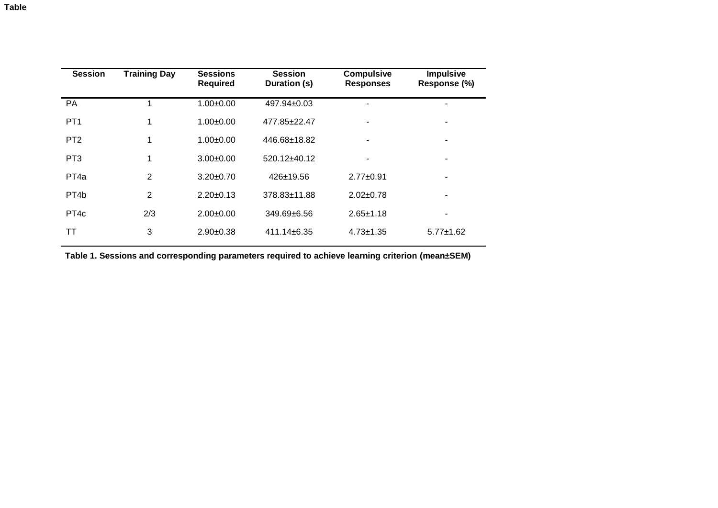| <b>Session</b>    | <b>Training Day</b> | <b>Sessions</b><br><b>Required</b> | <b>Session</b><br>Duration (s) | <b>Compulsive</b><br><b>Responses</b> | <b>Impulsive</b><br>Response (%) |
|-------------------|---------------------|------------------------------------|--------------------------------|---------------------------------------|----------------------------------|
| PA                |                     | $1.00+0.00$                        | $497.94 \pm 0.03$              |                                       |                                  |
| PT <sub>1</sub>   | 1                   | $1.00+0.00$                        | 477.85±22.47                   |                                       | ۰                                |
| PT <sub>2</sub>   | 1                   | $1.00 \pm 0.00$                    | 446.68±18.82                   |                                       |                                  |
| PT <sub>3</sub>   | 1                   | $3.00+0.00$                        | 520.12±40.12                   |                                       |                                  |
| PT <sub>4a</sub>  | 2                   | $3.20 \pm 0.70$                    | $426 \pm 19.56$                | $2.77 + 0.91$                         |                                  |
| PT <sub>4</sub> b | 2                   | $2.20 \pm 0.13$                    | 378.83±11.88                   | $2.02 \pm 0.78$                       |                                  |
| PT <sub>4c</sub>  | 2/3                 | $2.00+0.00$                        | $349.69 + 6.56$                | $2.65 \pm 1.18$                       |                                  |
| TТ                | 3                   | $2.90+0.38$                        | $411.14 \pm 6.35$              | $4.73 + 1.35$                         | $5.77 \pm 1.62$                  |

**Table 1. Sessions and corresponding parameters required to achieve learning criterion (mean±SEM)**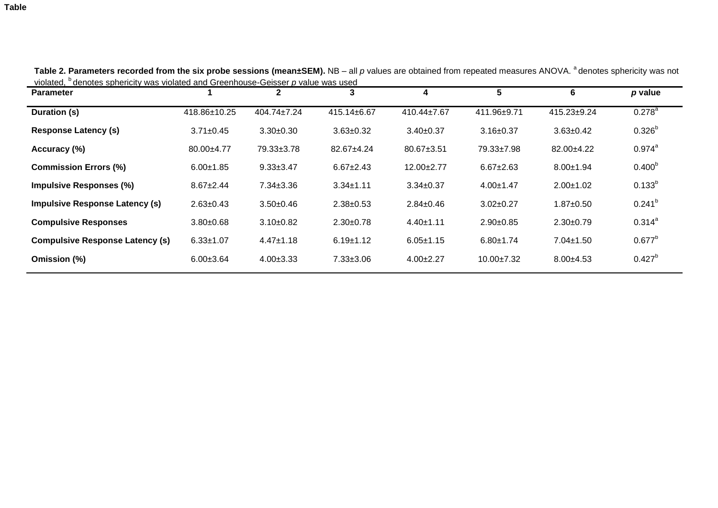| <b>Parameter</b>                       |                 | $\mathbf{2}$      | 3               | 4                 | 5                | 6               | p value            |
|----------------------------------------|-----------------|-------------------|-----------------|-------------------|------------------|-----------------|--------------------|
| Duration (s)                           | 418.86±10.25    | $404.74 \pm 7.24$ | 415.14±6.67     | $410.44 \pm 7.67$ | 411.96±9.71      | 415.23±9.24     | $0.278^{a}$        |
| <b>Response Latency (s)</b>            | $3.71 \pm 0.45$ | $3.30+0.30$       | $3.63 \pm 0.32$ | $3.40 \pm 0.37$   | $3.16 \pm 0.37$  | $3.63 \pm 0.42$ | $0.326^{b}$        |
| Accuracy (%)                           | 80.00±4.77      | 79.33±3.78        | 82.67±4.24      | $80.67 \pm 3.51$  | 79.33±7.98       | 82.00±4.22      | $0.974^{a}$        |
| <b>Commission Errors (%)</b>           | $6.00 \pm 1.85$ | $9.33 \pm 3.47$   | $6.67 \pm 2.43$ | $12.00+2.77$      | $6.67 + 2.63$    | $8.00 \pm 1.94$ | 0.400 <sup>b</sup> |
| <b>Impulsive Responses (%)</b>         | $8.67 + 2.44$   | $7.34 \pm 3.36$   | $3.34 \pm 1.11$ | $3.34 \pm 0.37$   | $4.00 \pm 1.47$  | $2.00 \pm 1.02$ | $0.133^{b}$        |
| <b>Impulsive Response Latency (s)</b>  | $2.63 \pm 0.43$ | $3.50+0.46$       | $2.38 \pm 0.53$ | $2.84 \pm 0.46$   | $3.02 \pm 0.27$  | $1.87 + 0.50$   | $0.241^{b}$        |
| <b>Compulsive Responses</b>            | $3.80 + 0.68$   | $3.10+0.82$       | $2.30 \pm 0.78$ | $4.40 \pm 1.11$   | $2.90+0.85$      | $2.30 \pm 0.79$ | $0.314^{a}$        |
| <b>Compulsive Response Latency (s)</b> | $6.33 \pm 1.07$ | $4.47 \pm 1.18$   | $6.19 \pm 1.12$ | $6.05 \pm 1.15$   | $6.80 \pm 1.74$  | $7.04 \pm 1.50$ | $0.677^{b}$        |
| Omission (%)                           | $6.00 \pm 3.64$ | $4.00 \pm 3.33$   | $7.33 \pm 3.06$ | $4.00 \pm 2.27$   | $10.00 \pm 7.32$ | $8.00 + 4.53$   | $0.427^{b}$        |
|                                        |                 |                   |                 |                   |                  |                 |                    |

Table 2. Parameters recorded from the six probe sessions (mean±SEM). NB – all p values are obtained from repeated measures ANOVA. <sup>a</sup>denotes sphericity was not violated, <sup>b</sup> denotes sphericity was violated and Greenhouse-Geisser *p* value was used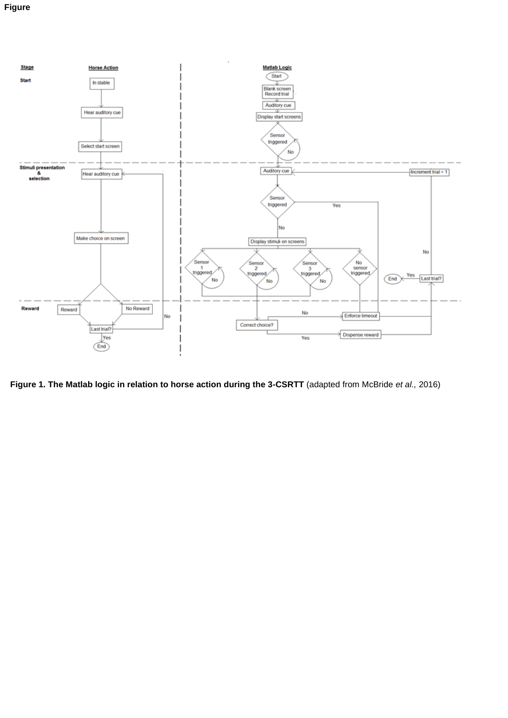

**Figure 1. The Matlab logic in relation to horse action during the 3-CSRTT** (adapted from McBride *et al.,* 2016)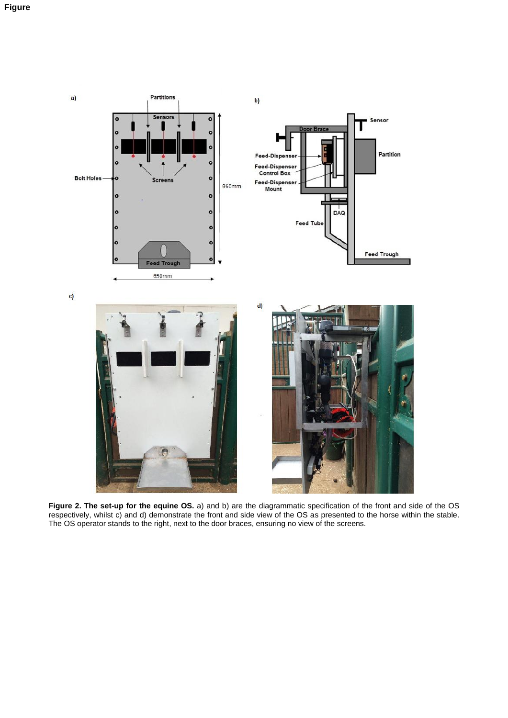

**Figure 2. The set-up for the equine OS.** a) and b) are the diagrammatic specification of the front and side of the OS respectively, whilst c) and d) demonstrate the front and side view of the OS as presented to the horse within the stable. The OS operator stands to the right, next to the door braces, ensuring no view of the screens.